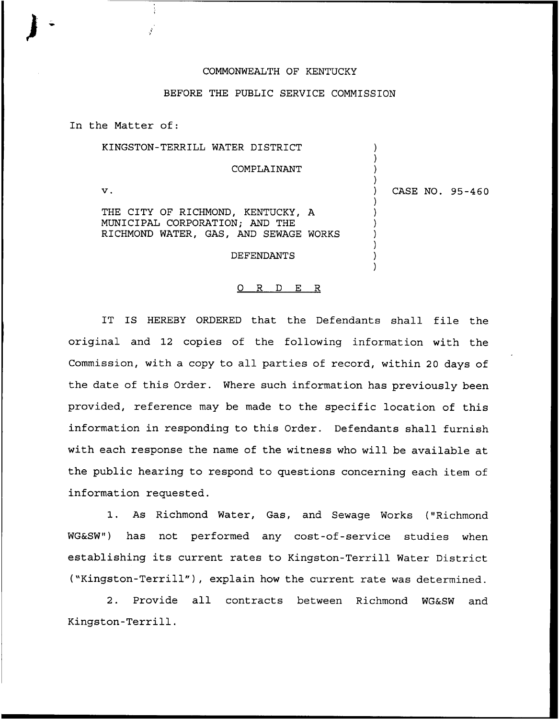## COMMONWEALTH OF KENTUCKY

## BEFORE THE PUBLIC SERVICE COMMISSION

In the Matter of:

| KINGSTON-TERRILL WATER DISTRICT                                                                              |                 |
|--------------------------------------------------------------------------------------------------------------|-----------------|
| COMPLAINANT                                                                                                  |                 |
| $\mathbf v$ .                                                                                                | CASE NO. 95-460 |
| THE CITY OF RICHMOND, KENTUCKY, A<br>MUNICIPAL CORPORATION; AND THE<br>RICHMOND WATER, GAS, AND SEWAGE WORKS |                 |
| DEFENDANTS                                                                                                   |                 |

## 0 R <sup>D</sup> E R

IT IS HEREBY ORDERED that the Defendants shall file the original and 12 copies of the following information with the Commission, with a copy to all parties of record, within 20 days of the date of this Order. Where such information has previously been provided, reference may be made to the specific location of this information in responding to this Order. Defendants shall furnish with each response the name of the witness who will be available at the public hearing to respond to questions concerning each item of information requested.

1. As Richmond Water, Gas, and Sewage Works ("Richmond WG&SW") has not performed any cost-of-service studies when establishing its current rates to Kingston-Terrill Water District ("Kingston-Terrill"), explain how the current rate was determined.

2. Provide all contracts between Richmond WG&SW and Kingston-Terrill.